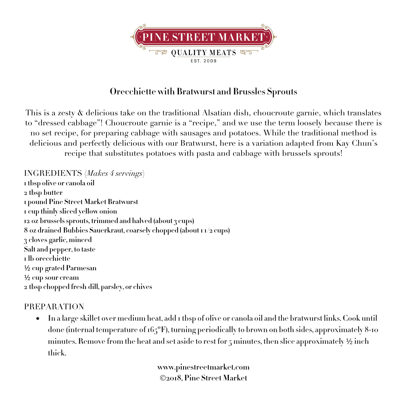

## **Orecchiette with Bratwurst and Brussles Sprouts**

This is a zesty & delicious take on the traditional Alsatian dish, choucroute garnie, which translates to "dressed cabbage"! Choucroute garnie is a "recipe," and we use the term loosely because there is no set recipe, for preparing cabbage with sausages and potatoes. While the traditional method is delicious and perfectly delicious with our Bratwurst, here is a variation adapted from Kay Chun's recipe that substitutes potatoes with pasta and cabbage with brussels sprouts!

INGREDIENTS (*Makes 4 servings*) **1 tbsp olive or canola oil tbsp butter pound Pine Street Market Bratwurst cup thinly sliced yellow onion oz brussels sprouts, trimmed and halved (about 3 cups) oz drained Bubbies Sauerkraut, coarsely chopped (about 1 1/2 cups) cloves garlic, minced Salt and pepper, to taste lb orecchiette** ½ **cup grated Parmesan** ½ **cup sour cream tbsp chopped fresh dill, parsley, or chives**

## PREPARATION

• **In a large skillet over medium heat, add 1 tbsp of olive or canola oil and the bratwurst links. Cook until done (internal temperature of 165ºF), turning periodically to brown on both sides, approximately 8-10 minutes. Remove from the heat and set aside to rest for 5 minutes, then slice approximately** ½ **inch thick.**

> **www.pinestreetmarket.com** Ó**2018, Pine Street Market**